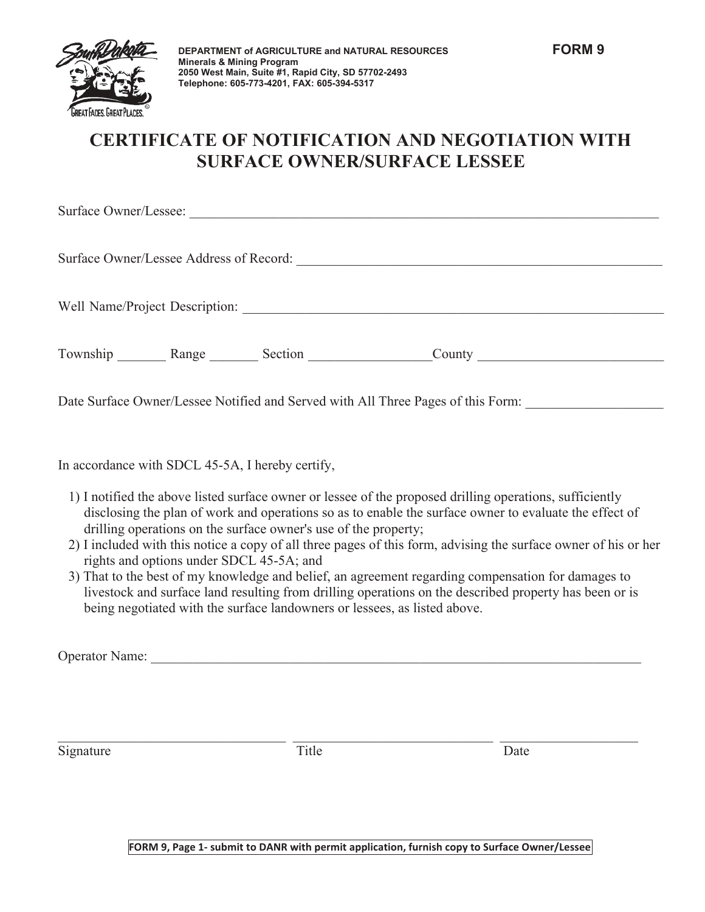

## **CERTIFICATE OF NOTIFICATION AND NEGOTIATION WITH SURFACE OWNER/SURFACE LESSEE**

| Surface Owner/Lessee: |                                         |         |                                |  |
|-----------------------|-----------------------------------------|---------|--------------------------------|--|
|                       | Surface Owner/Lessee Address of Record: |         |                                |  |
|                       |                                         |         | Well Name/Project Description: |  |
| Township              | Range                                   | Section | County                         |  |

Date Surface Owner/Lessee Notified and Served with All Three Pages of this Form:

In accordance with SDCL 45-5A, I hereby certify,

- 1) I notified the above listed surface owner or lessee of the proposed drilling operations, sufficiently disclosing the plan of work and operations so as to enable the surface owner to evaluate the effect of drilling operations on the surface owner's use of the property;
- 2) I included with this notice a copy of all three pages of this form, advising the surface owner of his or her rights and options under SDCL 45-5A; and
- 3) That to the best of my knowledge and belief, an agreement regarding compensation for damages to livestock and surface land resulting from drilling operations on the described property has been or is being negotiated with the surface landowners or lessees, as listed above.

Operator Name: \_\_\_\_\_\_\_\_\_\_\_\_\_\_\_\_\_\_\_\_\_\_\_\_\_\_\_\_\_\_\_\_\_\_\_\_\_\_\_\_\_\_\_\_\_\_\_\_\_\_\_\_\_\_\_\_\_\_\_\_\_\_\_\_\_\_\_\_\_\_\_

Signature Date Date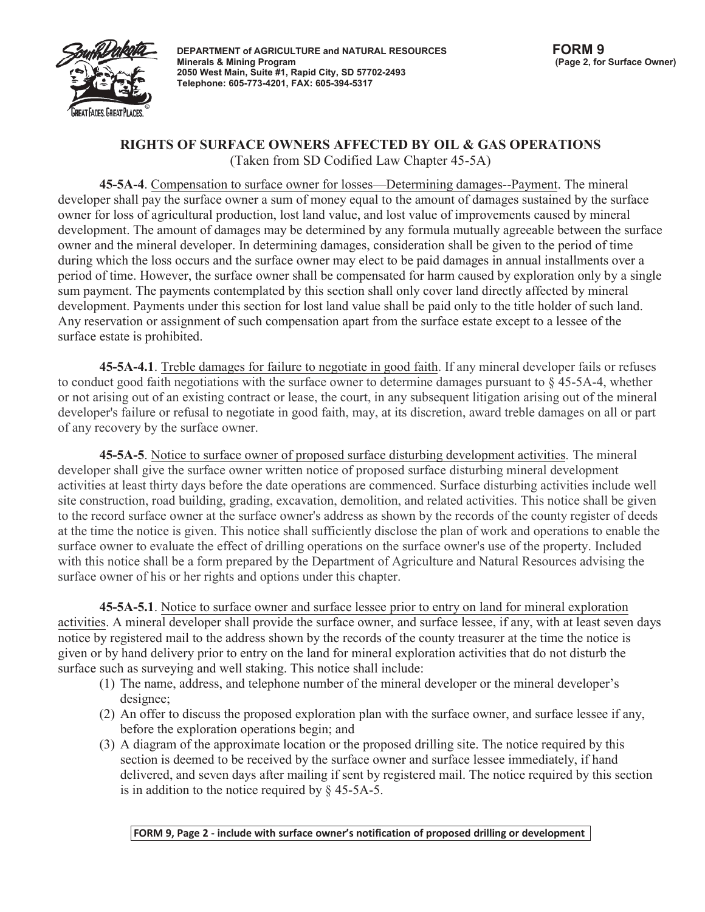

## **RIGHTS OF SURFACE OWNERS AFFECTED BY OIL & GAS OPERATIONS** (Taken from SD Codified Law Chapter 45-5A)

**45-5A-4**. Compensation to surface owner for losses—Determining damages--Payment. The mineral developer shall pay the surface owner a sum of money equal to the amount of damages sustained by the surface owner for loss of agricultural production, lost land value, and lost value of improvements caused by mineral development. The amount of damages may be determined by any formula mutually agreeable between the surface owner and the mineral developer. In determining damages, consideration shall be given to the period of time during which the loss occurs and the surface owner may elect to be paid damages in annual installments over a period of time. However, the surface owner shall be compensated for harm caused by exploration only by a single sum payment. The payments contemplated by this section shall only cover land directly affected by mineral development. Payments under this section for lost land value shall be paid only to the title holder of such land. Any reservation or assignment of such compensation apart from the surface estate except to a lessee of the surface estate is prohibited.

**45-5A-4.1**. Treble damages for failure to negotiate in good faith. If any mineral developer fails or refuses to conduct good faith negotiations with the surface owner to determine damages pursuant to § 45-5A-4, whether or not arising out of an existing contract or lease, the court, in any subsequent litigation arising out of the mineral developer's failure or refusal to negotiate in good faith, may, at its discretion, award treble damages on all or part of any recovery by the surface owner.

**45-5A-5**. Notice to surface owner of proposed surface disturbing development activities. The mineral developer shall give the surface owner written notice of proposed surface disturbing mineral development activities at least thirty days before the date operations are commenced. Surface disturbing activities include well site construction, road building, grading, excavation, demolition, and related activities. This notice shall be given to the record surface owner at the surface owner's address as shown by the records of the county register of deeds at the time the notice is given. This notice shall sufficiently disclose the plan of work and operations to enable the surface owner to evaluate the effect of drilling operations on the surface owner's use of the property. Included with this notice shall be a form prepared by the Department of Agriculture and Natural Resources advising the surface owner of his or her rights and options under this chapter.

**45-5A-5.1**. Notice to surface owner and surface lessee prior to entry on land for mineral exploration activities. A mineral developer shall provide the surface owner, and surface lessee, if any, with at least seven days notice by registered mail to the address shown by the records of the county treasurer at the time the notice is given or by hand delivery prior to entry on the land for mineral exploration activities that do not disturb the surface such as surveying and well staking. This notice shall include:

- (1) The name, address, and telephone number of the mineral developer or the mineral developer's designee;
- (2) An offer to discuss the proposed exploration plan with the surface owner, and surface lessee if any, before the exploration operations begin; and
- (3) A diagram of the approximate location or the proposed drilling site. The notice required by this section is deemed to be received by the surface owner and surface lessee immediately, if hand delivered, and seven days after mailing if sent by registered mail. The notice required by this section is in addition to the notice required by  $\S$  45-5A-5.